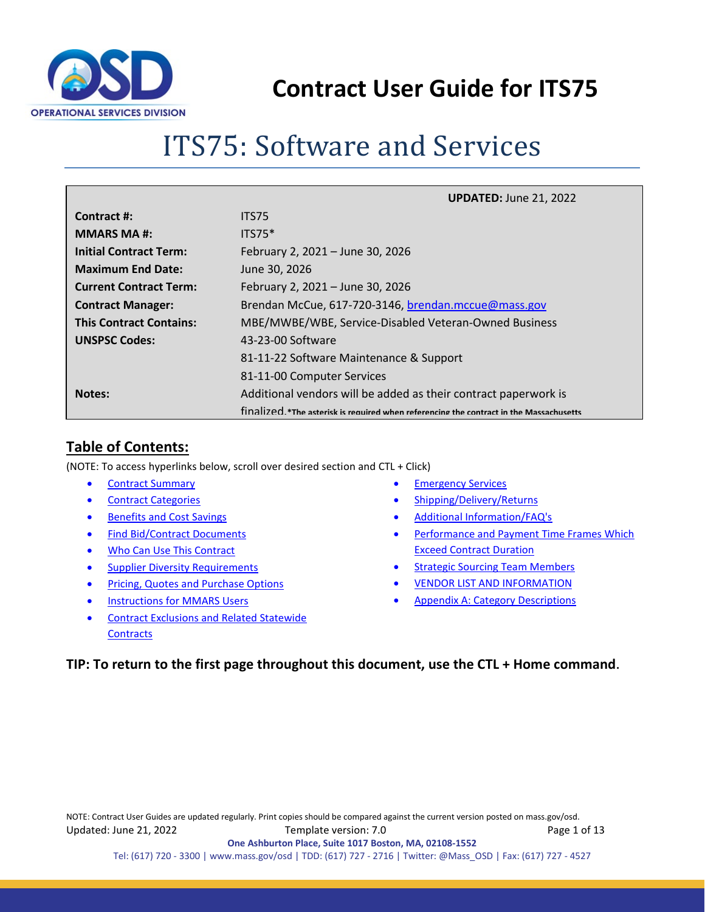

# ITS75: Software and Services

<span id="page-0-0"></span>

|                                | <b>UPDATED: June 21, 2022</b>                                                          |
|--------------------------------|----------------------------------------------------------------------------------------|
| Contract #:                    | ITS75                                                                                  |
| <b>MMARS MA#:</b>              | $ITS75*$                                                                               |
| <b>Initial Contract Term:</b>  | February 2, 2021 - June 30, 2026                                                       |
| <b>Maximum End Date:</b>       | June 30, 2026                                                                          |
| <b>Current Contract Term:</b>  | February 2, 2021 - June 30, 2026                                                       |
| <b>Contract Manager:</b>       | Brendan McCue, 617-720-3146, brendan.mccue@mass.gov                                    |
| <b>This Contract Contains:</b> | MBE/MWBE/WBE, Service-Disabled Veteran-Owned Business                                  |
| <b>UNSPSC Codes:</b>           | 43-23-00 Software                                                                      |
|                                | 81-11-22 Software Maintenance & Support                                                |
|                                | 81-11-00 Computer Services                                                             |
| <b>Notes:</b>                  | Additional vendors will be added as their contract paperwork is                        |
|                                | finalized *The asterisk is required when referencing the contract in the Massachusetts |

# **Table of Contents:**

(NOTE: To access hyperlinks below, scroll over desired section and CTL + Click)

- [Contract Summary](#page-1-0)
- **[Contract Categories](#page-1-1)**
- [Benefits and Cost Savings](#page-1-2)
- [Find Bid/Contract Documents](#page-1-3)
- [Who Can Use This Contract](#page-2-0)
- [Supplier Diversity Requirements](#page-2-1)
- Pricing, Quotes [and Purchase Options](#page-3-0)
- [Instructions for MMARS Users](#page-5-0)
- [Contract Exclusions and Related Statewide](#page-5-1)  **[Contracts](#page-5-1)**
- **[Emergency Services](#page-6-0)**
- [Shipping/Delivery/Returns](#page-6-1)
- [Additional Information/FAQ's](#page-6-2)
- Performance and Payment Time Frames Which [Exceed Contract Duration](#page-6-3)
- **[Strategic Sourcing Team Members](#page-7-0)**
- **[VENDOR LIST AND INFORMATION](#page-8-0)**
- [Appendix A:](#page-12-0) [Category Descriptions](#page-12-0)

## **TIP: To return to the first page throughout this document, use the CTL + Home command**.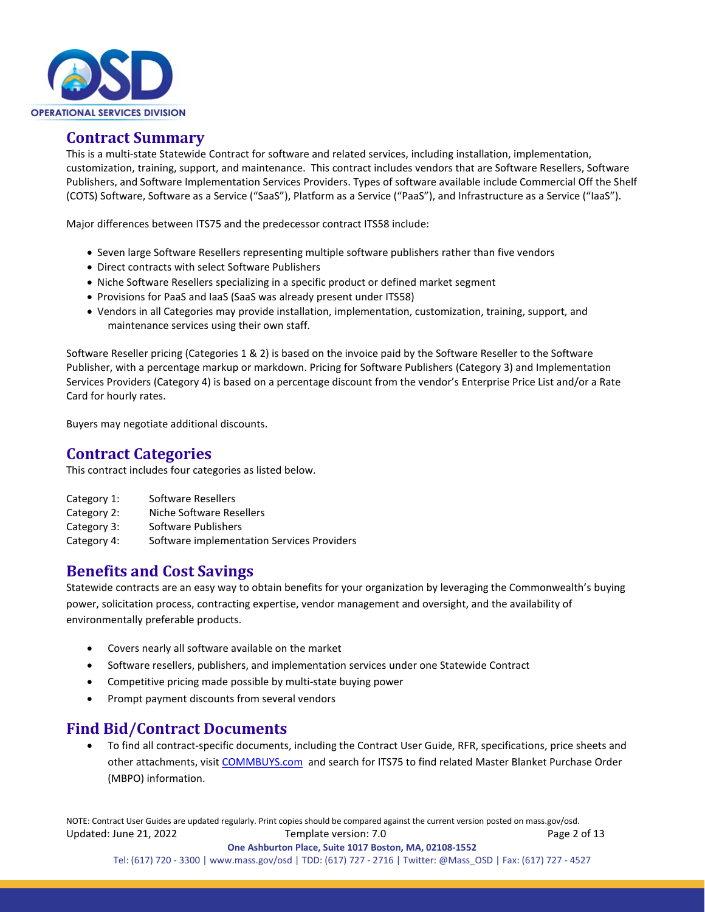

## <span id="page-1-0"></span>**Contract Summary**

This is a multi-state Statewide Contract for software and related services, including installation, implementation, customization, training, support, and maintenance. This contract includes vendors that are Software Resellers, Software Publishers, and Software Implementation Services Providers. Types of software available include Commercial Off the Shelf (COTS) Software, Software as a Service ("SaaS"), Platform as a Service ("PaaS"), and Infrastructure as a Service ("IaaS").

Major differences between ITS75 and the predecessor contract ITS58 include:

- Seven large Software Resellers representing multiple software publishers rather than five vendors
- Direct contracts with select Software Publishers
- Niche Software Resellers specializing in a specific product or defined market segment
- Provisions for PaaS and IaaS (SaaS was already present under ITS58)
- Vendors in all Categories may provide installation, implementation, customization, training, support, and maintenance services using their own staff.

Software Reseller pricing (Categories 1 & 2) is based on the invoice paid by the Software Reseller to the Software Publisher, with a percentage markup or markdown. Pricing for Software Publishers (Category 3) and Implementation Services Providers (Category 4) is based on a percentage discount from the vendor's Enterprise Price List and/or a Rate Card for hourly rates.

Buyers may negotiate additional discounts.

## <span id="page-1-1"></span>**Contract Categories**

This contract includes four categories as listed below.

- Category 1: Software Resellers
- Category 2: Niche Software Resellers
- Category 3: Software Publishers
- Category 4: Software implementation Services Providers

## <span id="page-1-2"></span>**Benefits and Cost Savings**

Statewide contracts are an easy way to obtain benefits for your organization by leveraging the Commonwealth's buying power, solicitation process, contracting expertise, vendor management and oversight, and the availability of environmentally preferable products.

- Covers nearly all software available on the market
- Software resellers, publishers, and implementation services under one Statewide Contract
- Competitive pricing made possible by multi-state buying power
- Prompt payment discounts from several vendors

## <span id="page-1-3"></span>**Find Bid/Contract Documents**

• To find all contract-specific documents, including the Contract User Guide, RFR, specifications, price sheets and other attachments, visit [COMMBUYS.com](http://www.commbuys.com/) and search for ITS75 to find related Master Blanket Purchase Order (MBPO) information.

NOTE: Contract User Guides are updated regularly. Print copies should be compared against the current version posted on mass.gov/osd. Updated: June 21, 2022 Template version: 7.0 Page 2 of 13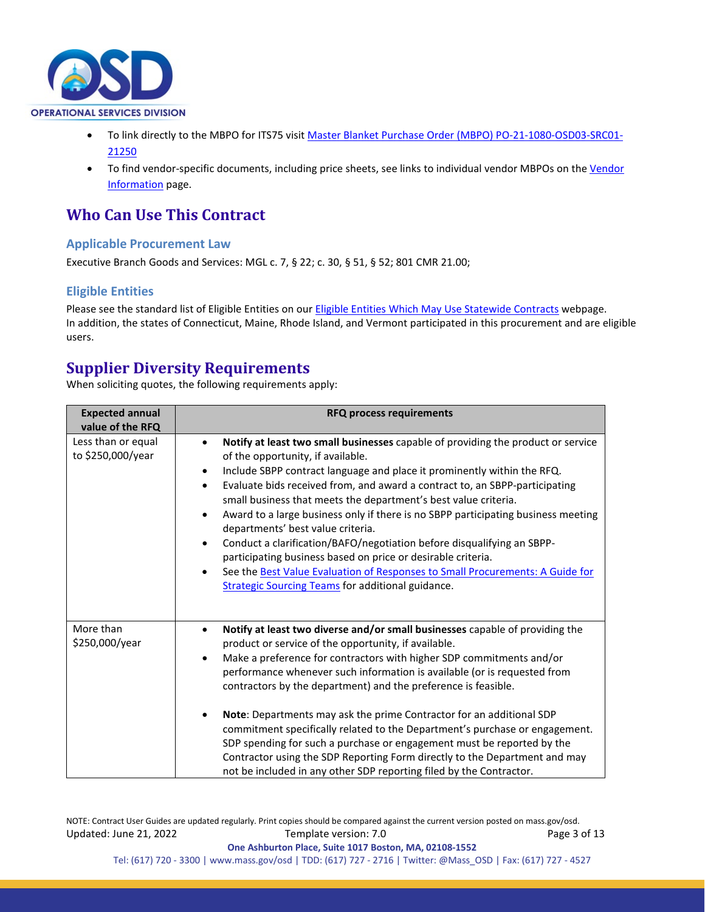

- To link directly to the MBPO for ITS75 visit [Master Blanket Purchase Order \(MBPO\) PO-21-1080-OSD03-SRC01-](https://www.commbuys.com/bso/external/purchaseorder/poSummary.sdo?docId=PO-21-1080-OSD03-SRC01-21250&releaseNbr=0&external=true&parentUrl=close) [21250](https://www.commbuys.com/bso/external/purchaseorder/poSummary.sdo?docId=PO-21-1080-OSD03-SRC01-21250&releaseNbr=0&external=true&parentUrl=close)
- To find vendor-specific documents, including price sheets, see links to individual vendor MBPOs on the Vendor [Information](#page-8-0) page.

# <span id="page-2-0"></span>**Who Can Use This Contract**

#### **Applicable Procurement Law**

Executive Branch Goods and Services: MGL c. 7, § 22; c. 30, § 51, § 52; 801 CMR 21.00;

## **Eligible Entities**

Please see the standard list of Eligible Entities on our [Eligible Entities Which May Use Statewide Contracts](https://www.mass.gov/info-details/why-use-statewide-contracts#eligible-entities-which-may-use-statewide-contracts-) webpage. In addition, the states of Connecticut, Maine, Rhode Island, and Vermont participated in this procurement and are eligible users.

# <span id="page-2-1"></span>**Supplier Diversity Requirements**

When soliciting quotes, the following requirements apply:

| <b>Expected annual</b><br>value of the RFQ | <b>RFQ process requirements</b>                                                                                                                                                                                                                                                                                                                                                                                                                                                                                                                                                                                                                                                                                                                                                                                                      |
|--------------------------------------------|--------------------------------------------------------------------------------------------------------------------------------------------------------------------------------------------------------------------------------------------------------------------------------------------------------------------------------------------------------------------------------------------------------------------------------------------------------------------------------------------------------------------------------------------------------------------------------------------------------------------------------------------------------------------------------------------------------------------------------------------------------------------------------------------------------------------------------------|
| Less than or equal<br>to \$250,000/year    | Notify at least two small businesses capable of providing the product or service<br>of the opportunity, if available.<br>Include SBPP contract language and place it prominently within the RFQ.<br>$\bullet$<br>Evaluate bids received from, and award a contract to, an SBPP-participating<br>$\bullet$<br>small business that meets the department's best value criteria.<br>Award to a large business only if there is no SBPP participating business meeting<br>$\bullet$<br>departments' best value criteria.<br>Conduct a clarification/BAFO/negotiation before disqualifying an SBPP-<br>$\bullet$<br>participating business based on price or desirable criteria.<br>See the Best Value Evaluation of Responses to Small Procurements: A Guide for<br>$\bullet$<br><b>Strategic Sourcing Teams for additional guidance.</b> |
| More than<br>\$250,000/year                | Notify at least two diverse and/or small businesses capable of providing the<br>$\bullet$<br>product or service of the opportunity, if available.<br>Make a preference for contractors with higher SDP commitments and/or<br>$\bullet$<br>performance whenever such information is available (or is requested from<br>contractors by the department) and the preference is feasible.<br>Note: Departments may ask the prime Contractor for an additional SDP<br>$\bullet$<br>commitment specifically related to the Department's purchase or engagement.<br>SDP spending for such a purchase or engagement must be reported by the<br>Contractor using the SDP Reporting Form directly to the Department and may<br>not be included in any other SDP reporting filed by the Contractor.                                              |

NOTE: Contract User Guides are updated regularly. Print copies should be compared against the current version posted on mass.gov/osd. Updated: June 21, 2022 Template version: 7.0 Page 3 of 13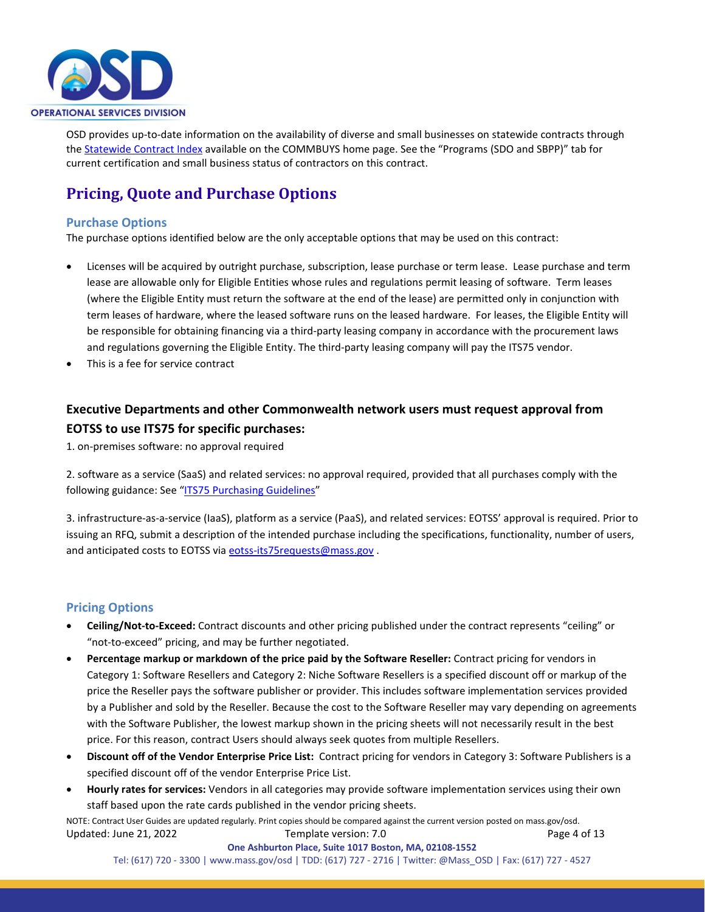

OSD provides up-to-date information on the availability of diverse and small businesses on statewide contracts through th[e Statewide Contract Index](https://www.mass.gov/doc/statewide-contract-index/download) available on the COMMBUYS home page. See the "Programs (SDO and SBPP)" tab for current certification and small business status of contractors on this contract.

# <span id="page-3-0"></span>**Pricing, Quote and Purchase Options**

#### **Purchase Options**

The purchase options identified below are the only acceptable options that may be used on this contract:

- Licenses will be acquired by outright purchase, subscription, lease purchase or term lease. Lease purchase and term lease are allowable only for Eligible Entities whose rules and regulations permit leasing of software. Term leases (where the Eligible Entity must return the software at the end of the lease) are permitted only in conjunction with term leases of hardware, where the leased software runs on the leased hardware. For leases, the Eligible Entity will be responsible for obtaining financing via a third-party leasing company in accordance with the procurement laws and regulations governing the Eligible Entity. The third-party leasing company will pay the ITS75 vendor.
- This is a fee for service contract

## **Executive Departments and other Commonwealth network users must request approval from EOTSS to use ITS75 for specific purchases:**

1. on-premises software: no approval required

2. software as a service (SaaS) and related services: no approval required, provided that all purchases comply with the following guidance: See ["ITS75 Purchasing Guidelines"](https://massgov.sharepoint.com/:w:/r/sites/TSS-Contract-Mgmt/_layouts/15/Doc.aspx?sourcedoc=%7B8B73A181-A7E8-42A8-84E3-7760838E7B85%7D&file=ITS75%20Purchasing%20Guidelines.docx&action=default&mobileredirect=true)

3. infrastructure-as-a-service (IaaS), platform as a service (PaaS), and related services: EOTSS' approval is required. Prior to issuing an RFQ, submit a description of the intended purchase including the specifications, functionality, number of users, and anticipated costs to EOTSS via [eotss-its75requests@mass.gov](mailto:eotss-its75requests@mass.gov).

#### **Pricing Options**

- **Ceiling/Not-to-Exceed:** Contract discounts and other pricing published under the contract represents "ceiling" or "not-to-exceed" pricing, and may be further negotiated.
- **Percentage markup or markdown of the price paid by the Software Reseller:** Contract pricing for vendors in Category 1: Software Resellers and Category 2: Niche Software Resellers is a specified discount off or markup of the price the Reseller pays the software publisher or provider. This includes software implementation services provided by a Publisher and sold by the Reseller. Because the cost to the Software Reseller may vary depending on agreements with the Software Publisher, the lowest markup shown in the pricing sheets will not necessarily result in the best price. For this reason, contract Users should always seek quotes from multiple Resellers.
- **Discount off of the Vendor Enterprise Price List:** Contract pricing for vendors in Category 3: Software Publishers is a specified discount off of the vendor Enterprise Price List.
- **Hourly rates for services:** Vendors in all categories may provide software implementation services using their own staff based upon the rate cards published in the vendor pricing sheets.

NOTE: Contract User Guides are updated regularly. Print copies should be compared against the current version posted on mass.gov/osd. Updated: June 21, 2022 Template version: 7.0 Page 4 of 13 **One Ashburton Place, Suite 1017 Boston, MA, 02108-1552**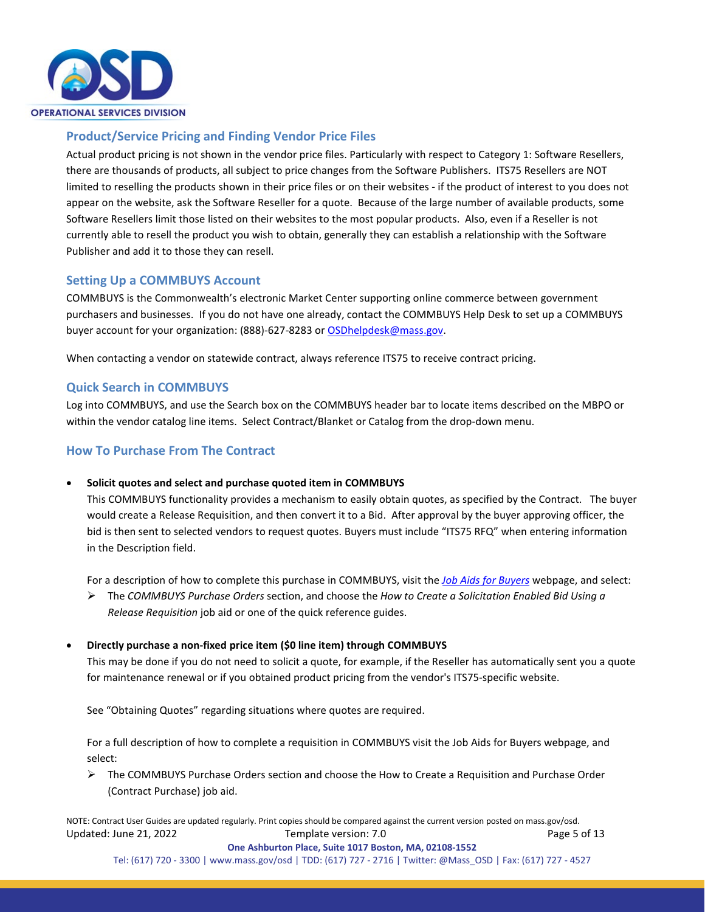

## **Product/Service Pricing and Finding Vendor Price Files**

Actual product pricing is not shown in the vendor price files. Particularly with respect to Category 1: Software Resellers, there are thousands of products, all subject to price changes from the Software Publishers. ITS75 Resellers are NOT limited to reselling the products shown in their price files or on their websites - if the product of interest to you does not appear on the website, ask the Software Reseller for a quote. Because of the large number of available products, some Software Resellers limit those listed on their websites to the most popular products. Also, even if a Reseller is not currently able to resell the product you wish to obtain, generally they can establish a relationship with the Software Publisher and add it to those they can resell.

### **Setting Up a COMMBUYS Account**

COMMBUYS is the Commonwealth's electronic Market Center supporting online commerce between government purchasers and businesses. If you do not have one already, contact the COMMBUYS Help Desk to set up a COMMBUYS buyer account for your organization: (888)-627-8283 o[r OSDhelpdesk@mass.gov.](mailto:OSDhelpdesk@mass.gov)

When contacting a vendor on statewide contract, always reference ITS75 to receive contract pricing.

### **Quick Search in COMMBUYS**

Log into COMMBUYS, and use the Search box on the COMMBUYS header bar to locate items described on the MBPO or within the vendor catalog line items. Select Contract/Blanket or Catalog from the drop-down menu.

### **How To Purchase From The Contract**

#### • **Solicit quotes and select and purchase quoted item in COMMBUYS**

This COMMBUYS functionality provides a mechanism to easily obtain quotes, as specified by the Contract. The buyer would create a Release Requisition, and then convert it to a Bid. After approval by the buyer approving officer, the bid is then sent to selected vendors to request quotes. Buyers must include "ITS75 RFQ" when entering information in the Description field.

For a description of how to complete this purchase in COMMBUYS, visit the *[Job Aids for Buyers](https://www.mass.gov/lists/job-aids-for-buyers-using-commbuys)* webpage, and select:

 The *COMMBUYS Purchase Orders* section, and choose the *How to Create a Solicitation Enabled Bid Using a Release Requisition* job aid or one of the quick reference guides.

#### • **Directly purchase a non-fixed price item (\$0 line item) through COMMBUYS**

This may be done if you do not need to solicit a quote, for example, if the Reseller has automatically sent you a quote for maintenance renewal or if you obtained product pricing from the vendor's ITS75-specific website.

See "Obtaining Quotes" regarding situations where quotes are required.

For a full description of how to complete a requisition in COMMBUYS visit the Job Aids for Buyers webpage, and select:

 $\triangleright$  The COMMBUYS Purchase Orders section and choose the How to Create a Requisition and Purchase Order (Contract Purchase) job aid.

NOTE: Contract User Guides are updated regularly. Print copies should be compared against the current version posted on mass.gov/osd. Updated: June 21, 2022 Template version: 7.0 Page 5 of 13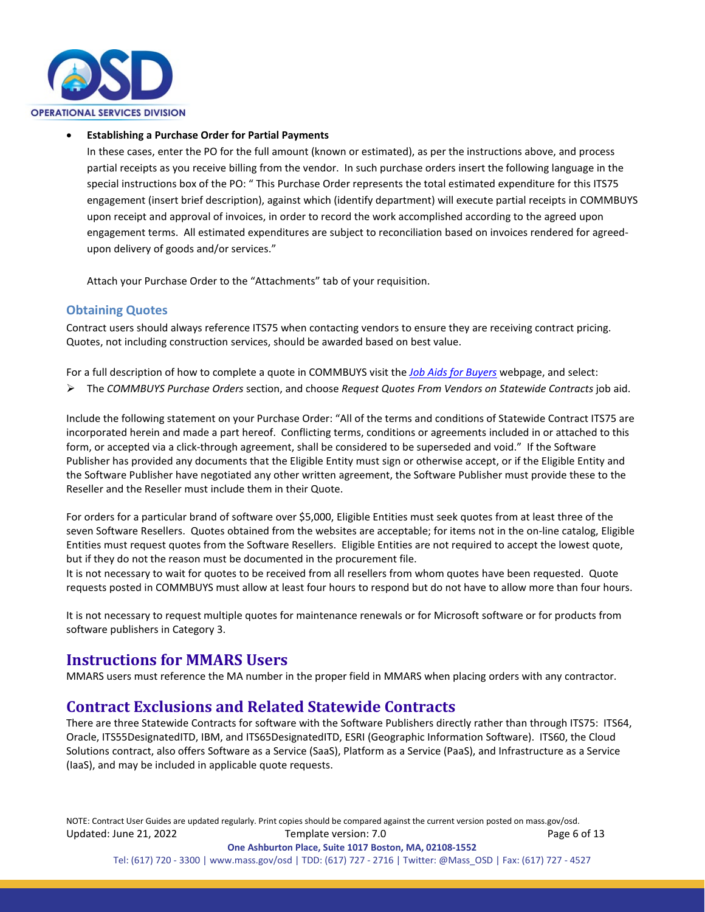

#### • **Establishing a Purchase Order for Partial Payments**

In these cases, enter the PO for the full amount (known or estimated), as per the instructions above, and process partial receipts as you receive billing from the vendor. In such purchase orders insert the following language in the special instructions box of the PO: " This Purchase Order represents the total estimated expenditure for this ITS75 engagement (insert brief description), against which (identify department) will execute partial receipts in COMMBUYS upon receipt and approval of invoices, in order to record the work accomplished according to the agreed upon engagement terms. All estimated expenditures are subject to reconciliation based on invoices rendered for agreedupon delivery of goods and/or services."

Attach your Purchase Order to the "Attachments" tab of your requisition.

#### **Obtaining Quotes**

Contract users should always reference ITS75 when contacting vendors to ensure they are receiving contract pricing. Quotes, not including construction services, should be awarded based on best value.

For a full description of how to complete a quote in COMMBUYS visit the *[Job Aids for Buyers](https://www.mass.gov/lists/job-aids-for-buyers-using-commbuys)* webpage, and select:

The *COMMBUYS Purchase Orders* section, and choose *Request Quotes From Vendors on Statewide Contracts* job aid.

Include the following statement on your Purchase Order: "All of the terms and conditions of Statewide Contract ITS75 are incorporated herein and made a part hereof. Conflicting terms, conditions or agreements included in or attached to this form, or accepted via a click-through agreement, shall be considered to be superseded and void." If the Software Publisher has provided any documents that the Eligible Entity must sign or otherwise accept, or if the Eligible Entity and the Software Publisher have negotiated any other written agreement, the Software Publisher must provide these to the Reseller and the Reseller must include them in their Quote.

For orders for a particular brand of software over \$5,000, Eligible Entities must seek quotes from at least three of the seven Software Resellers. Quotes obtained from the websites are acceptable; for items not in the on-line catalog, Eligible Entities must request quotes from the Software Resellers. Eligible Entities are not required to accept the lowest quote, but if they do not the reason must be documented in the procurement file.

It is not necessary to wait for quotes to be received from all resellers from whom quotes have been requested. Quote requests posted in COMMBUYS must allow at least four hours to respond but do not have to allow more than four hours.

It is not necessary to request multiple quotes for maintenance renewals or for Microsoft software or for products from software publishers in Category 3.

## <span id="page-5-0"></span>**Instructions for MMARS Users**

MMARS users must reference the MA number in the proper field in MMARS when placing orders with any contractor.

## <span id="page-5-1"></span>**Contract Exclusions and Related Statewide Contracts**

There are three Statewide Contracts for software with the Software Publishers directly rather than through ITS75: ITS64, Oracle, ITS55DesignatedITD, IBM, and ITS65DesignatedITD, ESRI (Geographic Information Software). ITS60, the Cloud Solutions contract, also offers Software as a Service (SaaS), Platform as a Service (PaaS), and Infrastructure as a Service (IaaS), and may be included in applicable quote requests.

NOTE: Contract User Guides are updated regularly. Print copies should be compared against the current version posted on mass.gov/osd. Updated: June 21, 2022 Template version: 7.0 Page 6 of 13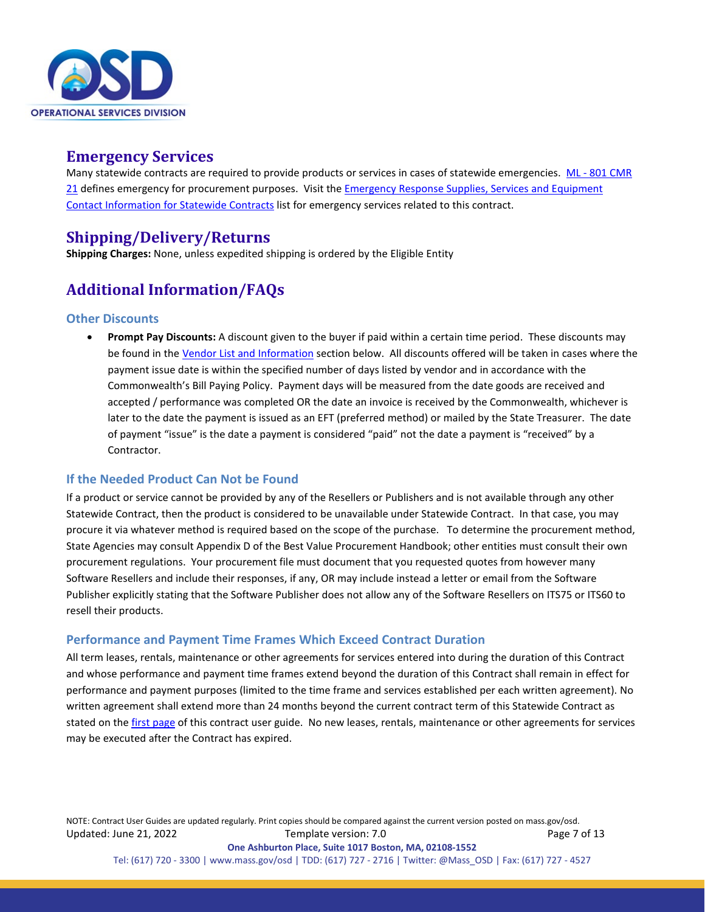

## <span id="page-6-0"></span>**Emergency Services**

Many statewide contracts are required to provide products or services in cases of statewide emergencies. ML - [801 CMR](https://www.mass.gov/regulations/801-CMR-21-procurement-of-commodities-or-services-including-human-and-social-services)  [21](https://www.mass.gov/regulations/801-CMR-21-procurement-of-commodities-or-services-including-human-and-social-services) defines emergency for procurement purposes. Visit the **Emergency Response Supplies**, Services and Equipment [Contact Information for Statewide Contracts](https://www.mass.gov/doc/emergency-response-supplies-services-and-equipment-contact-information) list for emergency services related to this contract.

# <span id="page-6-1"></span>**Shipping/Delivery/Returns**

**Shipping Charges:** None, unless expedited shipping is ordered by the Eligible Entity

# <span id="page-6-2"></span>**Additional Information/FAQs**

#### **Other Discounts**

• **Prompt Pay Discounts:** A discount given to the buyer if paid within a certain time period. These discounts may be found in the [Vendor List and Information](#page-8-0) section below. All discounts offered will be taken in cases where the payment issue date is within the specified number of days listed by vendor and in accordance with the Commonwealth's Bill Paying Policy. Payment days will be measured from the date goods are received and accepted / performance was completed OR the date an invoice is received by the Commonwealth, whichever is later to the date the payment is issued as an EFT (preferred method) or mailed by the State Treasurer. The date of payment "issue" is the date a payment is considered "paid" not the date a payment is "received" by a Contractor.

#### **If the Needed Product Can Not be Found**

If a product or service cannot be provided by any of the Resellers or Publishers and is not available through any other Statewide Contract, then the product is considered to be unavailable under Statewide Contract. In that case, you may procure it via whatever method is required based on the scope of the purchase. To determine the procurement method, State Agencies may consult Appendix D of the Best Value Procurement Handbook; other entities must consult their own procurement regulations. Your procurement file must document that you requested quotes from however many Software Resellers and include their responses, if any, OR may include instead a letter or email from the Software Publisher explicitly stating that the Software Publisher does not allow any of the Software Resellers on ITS75 or ITS60 to resell their products.

#### <span id="page-6-3"></span>**Performance and Payment Time Frames Which Exceed Contract Duration**

All term leases, rentals, maintenance or other agreements for services entered into during the duration of this Contract and whose performance and payment time frames extend beyond the duration of this Contract shall remain in effect for performance and payment purposes (limited to the time frame and services established per each written agreement). No written agreement shall extend more than 24 months beyond the current contract term of this Statewide Contract as stated on the *first page* of this contract user guide. No new leases, rentals, maintenance or other agreements for services may be executed after the Contract has expired.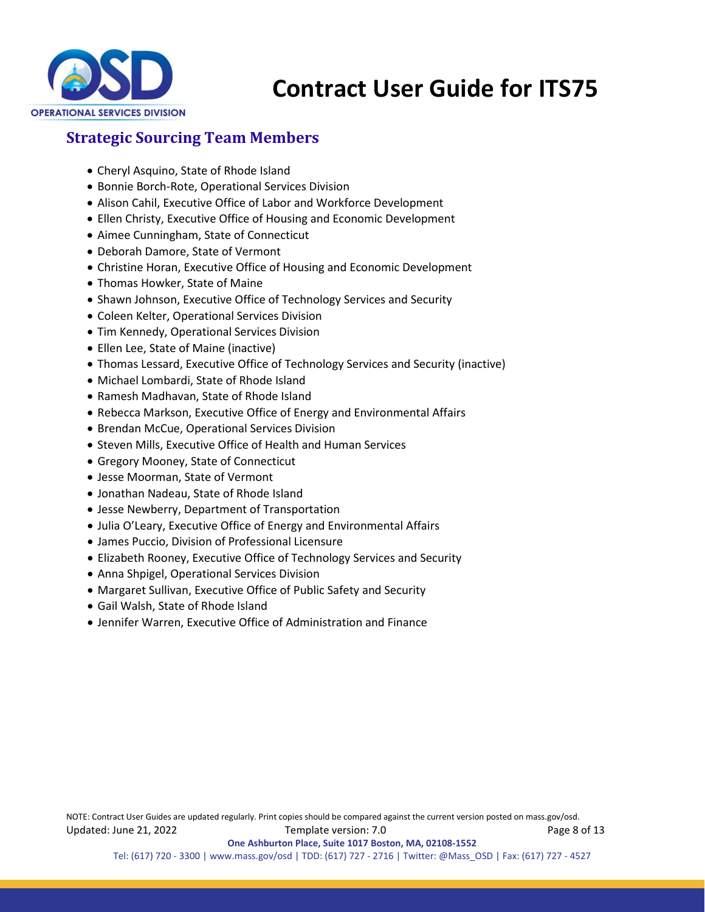

# <span id="page-7-0"></span>**Strategic Sourcing Team Members**

- Cheryl Asquino, State of Rhode Island
- Bonnie Borch-Rote, Operational Services Division
- Alison Cahil, Executive Office of Labor and Workforce Development
- Ellen Christy, Executive Office of Housing and Economic Development
- Aimee Cunningham, State of Connecticut
- Deborah Damore, State of Vermont
- Christine Horan, Executive Office of Housing and Economic Development
- Thomas Howker, State of Maine
- Shawn Johnson, Executive Office of Technology Services and Security
- Coleen Kelter, Operational Services Division
- Tim Kennedy, Operational Services Division
- Ellen Lee, State of Maine (inactive)
- Thomas Lessard, Executive Office of Technology Services and Security (inactive)
- Michael Lombardi, State of Rhode Island
- Ramesh Madhavan, State of Rhode Island
- Rebecca Markson, Executive Office of Energy and Environmental Affairs
- Brendan McCue, Operational Services Division
- Steven Mills, Executive Office of Health and Human Services
- Gregory Mooney, State of Connecticut
- Jesse Moorman, State of Vermont
- Jonathan Nadeau, State of Rhode Island
- Jesse Newberry, Department of Transportation
- Julia O'Leary, Executive Office of Energy and Environmental Affairs
- James Puccio, Division of Professional Licensure
- Elizabeth Rooney, Executive Office of Technology Services and Security
- Anna Shpigel, Operational Services Division
- Margaret Sullivan, Executive Office of Public Safety and Security
- Gail Walsh, State of Rhode Island
- Jennifer Warren, Executive Office of Administration and Finance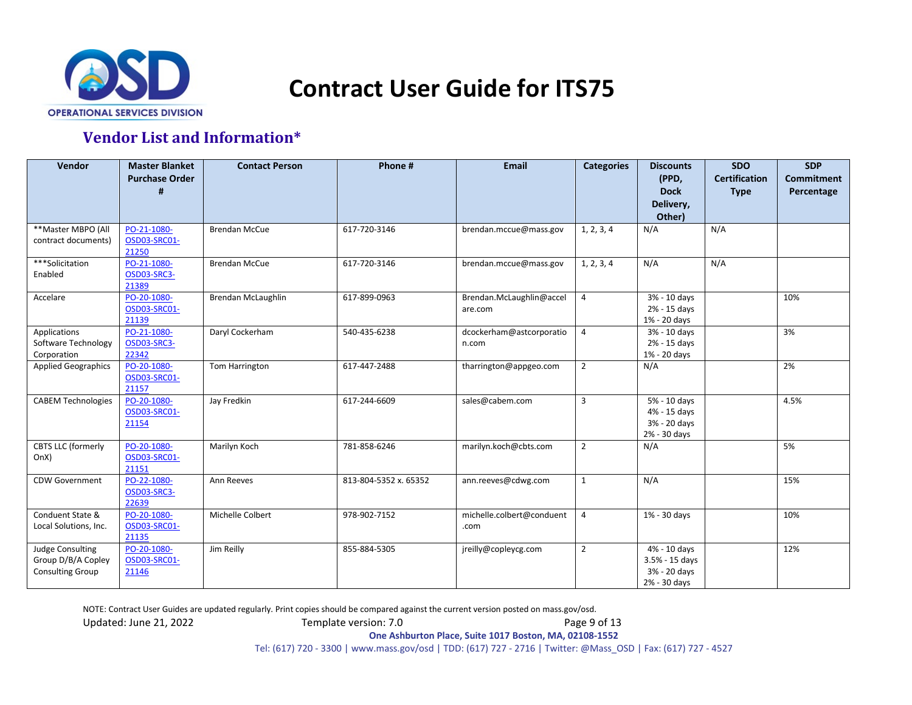

# **Vendor List and Information\***

<span id="page-8-0"></span>

| Vendor                                                            | <b>Master Blanket</b><br><b>Purchase Order</b><br>Ħ | <b>Contact Person</b> | Phone #               | <b>Email</b>                        | <b>Categories</b> | <b>Discounts</b><br>(PPD,<br><b>Dock</b><br>Delivery,<br>Other) | <b>SDO</b><br><b>Certification</b><br><b>Type</b> | <b>SDP</b><br><b>Commitment</b><br>Percentage |
|-------------------------------------------------------------------|-----------------------------------------------------|-----------------------|-----------------------|-------------------------------------|-------------------|-----------------------------------------------------------------|---------------------------------------------------|-----------------------------------------------|
| **Master MBPO (All<br>contract documents)                         | PO-21-1080-<br>OSD03-SRC01-<br>21250                | <b>Brendan McCue</b>  | 617-720-3146          | brendan.mccue@mass.gov              | 1, 2, 3, 4        | N/A                                                             | N/A                                               |                                               |
| ***Solicitation<br>Enabled                                        | PO-21-1080-<br><b>OSD03-SRC3-</b><br>21389          | <b>Brendan McCue</b>  | 617-720-3146          | brendan.mccue@mass.gov              | 1, 2, 3, 4        | N/A                                                             | N/A                                               |                                               |
| Accelare                                                          | PO-20-1080-<br>OSD03-SRC01-<br>21139                | Brendan McLaughlin    | 617-899-0963          | Brendan.McLaughlin@accel<br>are.com | $\overline{4}$    | 3% - 10 days<br>2% - 15 days<br>1% - 20 days                    |                                                   | 10%                                           |
| Applications<br>Software Technology<br>Corporation                | PO-21-1080-<br>OSD03-SRC3-<br>22342                 | Daryl Cockerham       | 540-435-6238          | dcockerham@astcorporatio<br>n.com   | $\overline{4}$    | 3% - 10 days<br>2% - 15 days<br>1% - 20 days                    |                                                   | 3%                                            |
| <b>Applied Geographics</b>                                        | PO-20-1080-<br>OSD03-SRC01-<br>21157                | Tom Harrington        | 617-447-2488          | tharrington@appgeo.com              | $\overline{2}$    | N/A                                                             |                                                   | 2%                                            |
| <b>CABEM Technologies</b>                                         | PO-20-1080-<br>OSD03-SRC01-<br>21154                | Jay Fredkin           | 617-244-6609          | sales@cabem.com                     | 3                 | 5% - 10 days<br>4% - 15 days<br>3% - 20 days<br>2% - 30 days    |                                                   | 4.5%                                          |
| <b>CBTS LLC (formerly</b><br>OnX)                                 | PO-20-1080-<br>OSD03-SRC01-<br>21151                | Marilyn Koch          | 781-858-6246          | marilyn.koch@cbts.com               | $\overline{2}$    | N/A                                                             |                                                   | 5%                                            |
| <b>CDW Government</b>                                             | PO-22-1080-<br>OSD03-SRC3-<br>22639                 | Ann Reeves            | 813-804-5352 x. 65352 | ann.reeves@cdwg.com                 | $\mathbf{1}$      | N/A                                                             |                                                   | 15%                                           |
| Conduent State &<br>Local Solutions, Inc.                         | PO-20-1080-<br>OSD03-SRC01-<br>21135                | Michelle Colbert      | 978-902-7152          | michelle.colbert@conduent<br>.com   | 4                 | 1% - 30 days                                                    |                                                   | 10%                                           |
| <b>Judge Consulting</b><br>Group D/B/A Copley<br>Consulting Group | PO-20-1080-<br>OSD03-SRC01-<br>21146                | Jim Reilly            | 855-884-5305          | jreilly@copleycg.com                | $\overline{2}$    | 4% - 10 days<br>3.5% - 15 days<br>3% - 20 days<br>2% - 30 days  |                                                   | 12%                                           |

NOTE: Contract User Guides are updated regularly. Print copies should be compared against the current version posted on mass.gov/osd.

Updated: June 21, 2022 Template version: 7.0 Page 9 of 13

**One Ashburton Place, Suite 1017 Boston, MA, 02108-1552**

Tel: (617) 720 - 3300 | [www.mass.gov/osd |](http://www.mass.gov/osd) TDD: (617) 727 - 2716 | Twitter: @Mass\_OSD | Fax: (617) 727 - 4527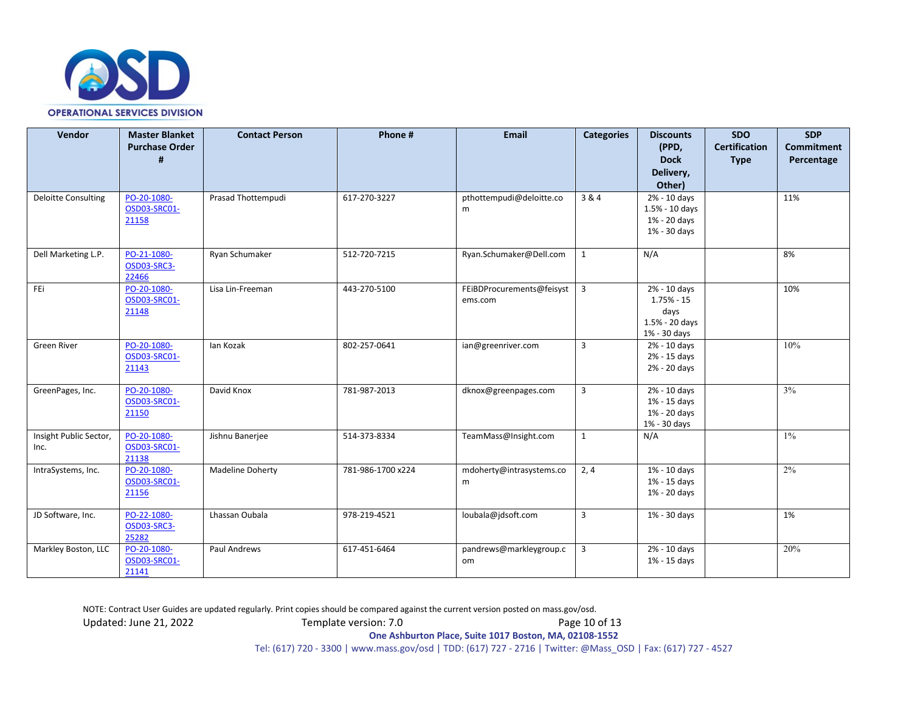

| Vendor                         | <b>Master Blanket</b><br><b>Purchase Order</b> | <b>Contact Person</b>   | Phone #           | <b>Email</b>                         | <b>Categories</b> | <b>Discounts</b><br>(PPD,                                                | <b>SDO</b><br><b>Certification</b> | <b>SDP</b><br><b>Commitment</b> |
|--------------------------------|------------------------------------------------|-------------------------|-------------------|--------------------------------------|-------------------|--------------------------------------------------------------------------|------------------------------------|---------------------------------|
|                                | #                                              |                         |                   |                                      |                   | <b>Dock</b><br>Delivery,<br>Other)                                       | <b>Type</b>                        | Percentage                      |
| <b>Deloitte Consulting</b>     | PO-20-1080-<br>OSD03-SRC01-<br>21158           | Prasad Thottempudi      | 617-270-3227      | pthottempudi@deloitte.co<br>m        | 3 & 4             | $2% - 10$ days<br>1.5% - 10 days<br>1% - 20 days<br>1% - 30 days         |                                    | 11%                             |
| Dell Marketing L.P.            | PO-21-1080-<br>OSD03-SRC3-<br>22466            | Ryan Schumaker          | 512-720-7215      | Ryan.Schumaker@Dell.com              | $\mathbf{1}$      | N/A                                                                      |                                    | 8%                              |
| FEi                            | PO-20-1080-<br>OSD03-SRC01-<br>21148           | Lisa Lin-Freeman        | 443-270-5100      | FEIBDProcurements@feisyst<br>ems.com | $\overline{3}$    | 2% - 10 days<br>$1.75% - 15$<br>days<br>$1.5% - 20$ days<br>1% - 30 days |                                    | 10%                             |
| <b>Green River</b>             | PO-20-1080-<br>OSD03-SRC01-<br>21143           | lan Kozak               | 802-257-0641      | ian@greenriver.com                   | $\overline{3}$    | 2% - 10 days<br>2% - 15 days<br>2% - 20 days                             |                                    | 10%                             |
| GreenPages, Inc.               | PO-20-1080-<br>OSD03-SRC01-<br>21150           | David Knox              | 781-987-2013      | dknox@greenpages.com                 | $\overline{3}$    | 2% - 10 days<br>1% - 15 days<br>1% - 20 days<br>1% - 30 days             |                                    | 3%                              |
| Insight Public Sector,<br>Inc. | PO-20-1080-<br>OSD03-SRC01-<br>21138           | Jishnu Banerjee         | 514-373-8334      | TeamMass@Insight.com                 | 1                 | N/A                                                                      |                                    | $1\%$                           |
| IntraSystems, Inc.             | PO-20-1080-<br>OSD03-SRC01-<br>21156           | <b>Madeline Doherty</b> | 781-986-1700 x224 | mdoherty@intrasystems.co<br>m        | 2, 4              | 1% - 10 days<br>1% - 15 days<br>1% - 20 days                             |                                    | $2\%$                           |
| JD Software, Inc.              | PO-22-1080-<br>OSD03-SRC3-<br>25282            | Lhassan Oubala          | 978-219-4521      | loubala@jdsoft.com                   | $\overline{3}$    | 1% - 30 days                                                             |                                    | 1%                              |
| Markley Boston, LLC            | PO-20-1080-<br>OSD03-SRC01-<br>21141           | Paul Andrews            | 617-451-6464      | pandrews@markleygroup.c<br>om        | 3                 | 2% - 10 days<br>1% - 15 days                                             |                                    | 20%                             |

NOTE: Contract User Guides are updated regularly. Print copies should be compared against the current version posted on mass.gov/osd.

Updated: June 21, 2022 Template version: 7.0 Page 10 of 13

**One Ashburton Place, Suite 1017 Boston, MA, 02108-1552**

Tel: (617) 720 - 3300 | [www.mass.gov/osd |](http://www.mass.gov/osd) TDD: (617) 727 - 2716 | Twitter: @Mass\_OSD | Fax: (617) 727 - 4527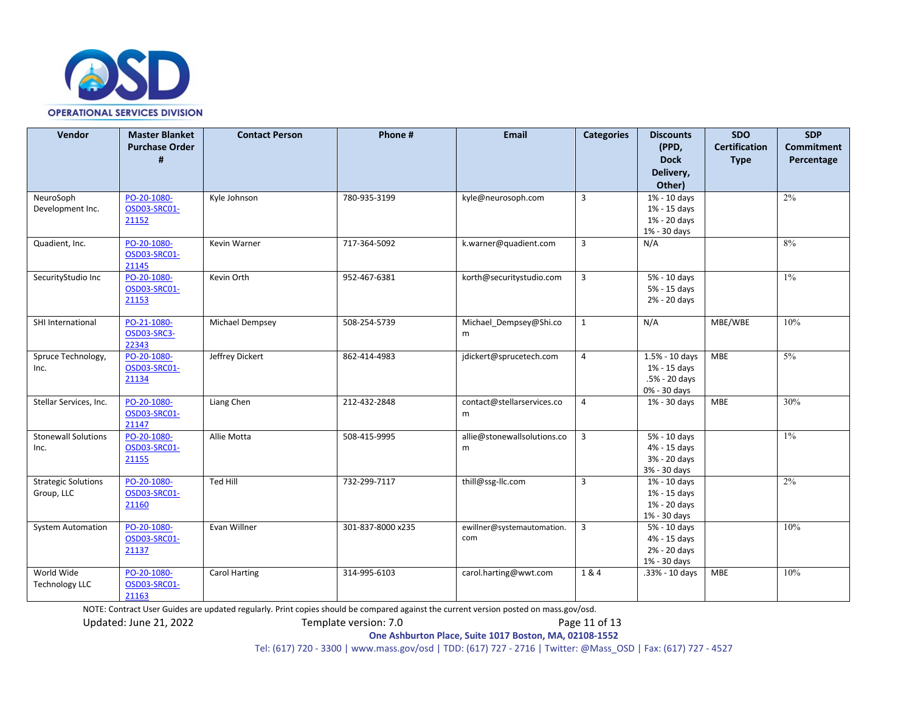

| #<br><b>Dock</b><br>Percentage<br><b>Type</b><br>Delivery,<br>Other)<br>PO-20-1080-<br>2%<br>NeuroSoph<br>Kyle Johnson<br>$\overline{3}$<br>$\overline{1\%}$ - 10 days<br>780-935-3199<br>kyle@neurosoph.com<br>OSD03-SRC01-<br>1% - 15 days<br>Development Inc.<br>1% - 20 days<br>21152<br>1% - 30 days<br>PO-20-1080-<br>$\overline{3}$<br>8%<br>Quadient, Inc.<br><b>Kevin Warner</b><br>717-364-5092<br>k.warner@quadient.com<br>N/A<br>OSD03-SRC01-<br>21145<br>PO-20-1080-<br>Kevin Orth<br>$\overline{3}$<br>5% - 10 days<br>$1\%$<br>SecurityStudio Inc<br>952-467-6381<br>korth@securitystudio.com<br>OSD03-SRC01-<br>5% - 15 days<br>2% - 20 days<br>21153<br>N/A<br>MBE/WBE<br>10%<br>SHI International<br>PO-21-1080-<br>Michael Dempsey@Shi.co<br>$\mathbf{1}$<br>Michael Dempsey<br>508-254-5739<br>OSD03-SRC3-<br>m<br>22343<br>5%<br>Jeffrey Dickert<br>1.5% - 10 days<br><b>MBE</b><br>PO-20-1080-<br>862-414-4983<br>$\overline{4}$<br>Spruce Technology,<br>jdickert@sprucetech.com<br>OSD03-SRC01-<br>1% - 15 days<br>Inc.<br>.5% - 20 days<br>21134<br>0% - 30 days<br>PO-20-1080-<br>30%<br>Liang Chen<br>212-432-2848<br><b>MBE</b><br>Stellar Services, Inc.<br>contact@stellarservices.co<br>$\overline{4}$<br>1% - 30 days<br>OSD03-SRC01-<br>m<br>21147<br>$1\%$<br><b>Stonewall Solutions</b><br>PO-20-1080-<br>$\overline{3}$<br>Allie Motta<br>508-415-9995<br>allie@stonewallsolutions.co<br>5% - 10 days<br><b>OSD03-SRC01-</b><br>4% - 15 days<br>Inc.<br>m<br>3% - 20 days<br>21155<br>3% - 30 days<br>2%<br><b>Strategic Solutions</b><br>PO-20-1080-<br>Ted Hill<br>$\overline{3}$<br>732-299-7117<br>thill@ssg-llc.com<br>1% - 10 days<br>OSD03-SRC01-<br>1% - 15 days<br>Group, LLC<br>1% - 20 days<br>21160<br>1% - 30 days<br>10%<br>PO-20-1080-<br>Evan Willner<br>301-837-8000 x235<br>ewillner@systemautomation.<br>$\overline{3}$<br>5% - 10 days<br><b>System Automation</b><br>com<br>4% - 15 days<br>OSD03-SRC01-<br>2% - 20 days<br>21137<br>1% - 30 days<br>10%<br>World Wide<br>PO-20-1080-<br>1&4<br><b>MBE</b><br><b>Carol Harting</b><br>314-995-6103<br>carol.harting@wwt.com<br>.33% - 10 days<br><b>Technology LLC</b><br>OSD03-SRC01- | Vendor | <b>Master Blanket</b><br><b>Purchase Order</b> | <b>Contact Person</b> | Phone # | <b>Email</b> | <b>Categories</b> | <b>Discounts</b><br>(PPD, | <b>SDO</b><br><b>Certification</b> | <b>SDP</b><br><b>Commitment</b> |
|-------------------------------------------------------------------------------------------------------------------------------------------------------------------------------------------------------------------------------------------------------------------------------------------------------------------------------------------------------------------------------------------------------------------------------------------------------------------------------------------------------------------------------------------------------------------------------------------------------------------------------------------------------------------------------------------------------------------------------------------------------------------------------------------------------------------------------------------------------------------------------------------------------------------------------------------------------------------------------------------------------------------------------------------------------------------------------------------------------------------------------------------------------------------------------------------------------------------------------------------------------------------------------------------------------------------------------------------------------------------------------------------------------------------------------------------------------------------------------------------------------------------------------------------------------------------------------------------------------------------------------------------------------------------------------------------------------------------------------------------------------------------------------------------------------------------------------------------------------------------------------------------------------------------------------------------------------------------------------------------------------------------------------------------------------------------------------------------------------------------------------------------------------------------------------------------------|--------|------------------------------------------------|-----------------------|---------|--------------|-------------------|---------------------------|------------------------------------|---------------------------------|
|                                                                                                                                                                                                                                                                                                                                                                                                                                                                                                                                                                                                                                                                                                                                                                                                                                                                                                                                                                                                                                                                                                                                                                                                                                                                                                                                                                                                                                                                                                                                                                                                                                                                                                                                                                                                                                                                                                                                                                                                                                                                                                                                                                                                 |        |                                                |                       |         |              |                   |                           |                                    |                                 |
|                                                                                                                                                                                                                                                                                                                                                                                                                                                                                                                                                                                                                                                                                                                                                                                                                                                                                                                                                                                                                                                                                                                                                                                                                                                                                                                                                                                                                                                                                                                                                                                                                                                                                                                                                                                                                                                                                                                                                                                                                                                                                                                                                                                                 |        |                                                |                       |         |              |                   |                           |                                    |                                 |
|                                                                                                                                                                                                                                                                                                                                                                                                                                                                                                                                                                                                                                                                                                                                                                                                                                                                                                                                                                                                                                                                                                                                                                                                                                                                                                                                                                                                                                                                                                                                                                                                                                                                                                                                                                                                                                                                                                                                                                                                                                                                                                                                                                                                 |        |                                                |                       |         |              |                   |                           |                                    |                                 |
|                                                                                                                                                                                                                                                                                                                                                                                                                                                                                                                                                                                                                                                                                                                                                                                                                                                                                                                                                                                                                                                                                                                                                                                                                                                                                                                                                                                                                                                                                                                                                                                                                                                                                                                                                                                                                                                                                                                                                                                                                                                                                                                                                                                                 |        |                                                |                       |         |              |                   |                           |                                    |                                 |
|                                                                                                                                                                                                                                                                                                                                                                                                                                                                                                                                                                                                                                                                                                                                                                                                                                                                                                                                                                                                                                                                                                                                                                                                                                                                                                                                                                                                                                                                                                                                                                                                                                                                                                                                                                                                                                                                                                                                                                                                                                                                                                                                                                                                 |        |                                                |                       |         |              |                   |                           |                                    |                                 |
|                                                                                                                                                                                                                                                                                                                                                                                                                                                                                                                                                                                                                                                                                                                                                                                                                                                                                                                                                                                                                                                                                                                                                                                                                                                                                                                                                                                                                                                                                                                                                                                                                                                                                                                                                                                                                                                                                                                                                                                                                                                                                                                                                                                                 |        |                                                |                       |         |              |                   |                           |                                    |                                 |
|                                                                                                                                                                                                                                                                                                                                                                                                                                                                                                                                                                                                                                                                                                                                                                                                                                                                                                                                                                                                                                                                                                                                                                                                                                                                                                                                                                                                                                                                                                                                                                                                                                                                                                                                                                                                                                                                                                                                                                                                                                                                                                                                                                                                 |        |                                                |                       |         |              |                   |                           |                                    |                                 |
|                                                                                                                                                                                                                                                                                                                                                                                                                                                                                                                                                                                                                                                                                                                                                                                                                                                                                                                                                                                                                                                                                                                                                                                                                                                                                                                                                                                                                                                                                                                                                                                                                                                                                                                                                                                                                                                                                                                                                                                                                                                                                                                                                                                                 |        |                                                |                       |         |              |                   |                           |                                    |                                 |
|                                                                                                                                                                                                                                                                                                                                                                                                                                                                                                                                                                                                                                                                                                                                                                                                                                                                                                                                                                                                                                                                                                                                                                                                                                                                                                                                                                                                                                                                                                                                                                                                                                                                                                                                                                                                                                                                                                                                                                                                                                                                                                                                                                                                 |        |                                                |                       |         |              |                   |                           |                                    |                                 |
|                                                                                                                                                                                                                                                                                                                                                                                                                                                                                                                                                                                                                                                                                                                                                                                                                                                                                                                                                                                                                                                                                                                                                                                                                                                                                                                                                                                                                                                                                                                                                                                                                                                                                                                                                                                                                                                                                                                                                                                                                                                                                                                                                                                                 |        |                                                |                       |         |              |                   |                           |                                    |                                 |
|                                                                                                                                                                                                                                                                                                                                                                                                                                                                                                                                                                                                                                                                                                                                                                                                                                                                                                                                                                                                                                                                                                                                                                                                                                                                                                                                                                                                                                                                                                                                                                                                                                                                                                                                                                                                                                                                                                                                                                                                                                                                                                                                                                                                 |        |                                                |                       |         |              |                   |                           |                                    |                                 |
|                                                                                                                                                                                                                                                                                                                                                                                                                                                                                                                                                                                                                                                                                                                                                                                                                                                                                                                                                                                                                                                                                                                                                                                                                                                                                                                                                                                                                                                                                                                                                                                                                                                                                                                                                                                                                                                                                                                                                                                                                                                                                                                                                                                                 |        |                                                |                       |         |              |                   |                           |                                    |                                 |
|                                                                                                                                                                                                                                                                                                                                                                                                                                                                                                                                                                                                                                                                                                                                                                                                                                                                                                                                                                                                                                                                                                                                                                                                                                                                                                                                                                                                                                                                                                                                                                                                                                                                                                                                                                                                                                                                                                                                                                                                                                                                                                                                                                                                 |        |                                                |                       |         |              |                   |                           |                                    |                                 |
|                                                                                                                                                                                                                                                                                                                                                                                                                                                                                                                                                                                                                                                                                                                                                                                                                                                                                                                                                                                                                                                                                                                                                                                                                                                                                                                                                                                                                                                                                                                                                                                                                                                                                                                                                                                                                                                                                                                                                                                                                                                                                                                                                                                                 |        |                                                |                       |         |              |                   |                           |                                    |                                 |
|                                                                                                                                                                                                                                                                                                                                                                                                                                                                                                                                                                                                                                                                                                                                                                                                                                                                                                                                                                                                                                                                                                                                                                                                                                                                                                                                                                                                                                                                                                                                                                                                                                                                                                                                                                                                                                                                                                                                                                                                                                                                                                                                                                                                 |        |                                                |                       |         |              |                   |                           |                                    |                                 |
|                                                                                                                                                                                                                                                                                                                                                                                                                                                                                                                                                                                                                                                                                                                                                                                                                                                                                                                                                                                                                                                                                                                                                                                                                                                                                                                                                                                                                                                                                                                                                                                                                                                                                                                                                                                                                                                                                                                                                                                                                                                                                                                                                                                                 |        |                                                |                       |         |              |                   |                           |                                    |                                 |
|                                                                                                                                                                                                                                                                                                                                                                                                                                                                                                                                                                                                                                                                                                                                                                                                                                                                                                                                                                                                                                                                                                                                                                                                                                                                                                                                                                                                                                                                                                                                                                                                                                                                                                                                                                                                                                                                                                                                                                                                                                                                                                                                                                                                 |        |                                                |                       |         |              |                   |                           |                                    |                                 |
|                                                                                                                                                                                                                                                                                                                                                                                                                                                                                                                                                                                                                                                                                                                                                                                                                                                                                                                                                                                                                                                                                                                                                                                                                                                                                                                                                                                                                                                                                                                                                                                                                                                                                                                                                                                                                                                                                                                                                                                                                                                                                                                                                                                                 |        |                                                |                       |         |              |                   |                           |                                    |                                 |
|                                                                                                                                                                                                                                                                                                                                                                                                                                                                                                                                                                                                                                                                                                                                                                                                                                                                                                                                                                                                                                                                                                                                                                                                                                                                                                                                                                                                                                                                                                                                                                                                                                                                                                                                                                                                                                                                                                                                                                                                                                                                                                                                                                                                 |        |                                                |                       |         |              |                   |                           |                                    |                                 |
|                                                                                                                                                                                                                                                                                                                                                                                                                                                                                                                                                                                                                                                                                                                                                                                                                                                                                                                                                                                                                                                                                                                                                                                                                                                                                                                                                                                                                                                                                                                                                                                                                                                                                                                                                                                                                                                                                                                                                                                                                                                                                                                                                                                                 |        |                                                |                       |         |              |                   |                           |                                    |                                 |
|                                                                                                                                                                                                                                                                                                                                                                                                                                                                                                                                                                                                                                                                                                                                                                                                                                                                                                                                                                                                                                                                                                                                                                                                                                                                                                                                                                                                                                                                                                                                                                                                                                                                                                                                                                                                                                                                                                                                                                                                                                                                                                                                                                                                 |        |                                                |                       |         |              |                   |                           |                                    |                                 |
|                                                                                                                                                                                                                                                                                                                                                                                                                                                                                                                                                                                                                                                                                                                                                                                                                                                                                                                                                                                                                                                                                                                                                                                                                                                                                                                                                                                                                                                                                                                                                                                                                                                                                                                                                                                                                                                                                                                                                                                                                                                                                                                                                                                                 |        |                                                |                       |         |              |                   |                           |                                    |                                 |
|                                                                                                                                                                                                                                                                                                                                                                                                                                                                                                                                                                                                                                                                                                                                                                                                                                                                                                                                                                                                                                                                                                                                                                                                                                                                                                                                                                                                                                                                                                                                                                                                                                                                                                                                                                                                                                                                                                                                                                                                                                                                                                                                                                                                 |        |                                                |                       |         |              |                   |                           |                                    |                                 |
|                                                                                                                                                                                                                                                                                                                                                                                                                                                                                                                                                                                                                                                                                                                                                                                                                                                                                                                                                                                                                                                                                                                                                                                                                                                                                                                                                                                                                                                                                                                                                                                                                                                                                                                                                                                                                                                                                                                                                                                                                                                                                                                                                                                                 |        |                                                |                       |         |              |                   |                           |                                    |                                 |
|                                                                                                                                                                                                                                                                                                                                                                                                                                                                                                                                                                                                                                                                                                                                                                                                                                                                                                                                                                                                                                                                                                                                                                                                                                                                                                                                                                                                                                                                                                                                                                                                                                                                                                                                                                                                                                                                                                                                                                                                                                                                                                                                                                                                 |        |                                                |                       |         |              |                   |                           |                                    |                                 |
|                                                                                                                                                                                                                                                                                                                                                                                                                                                                                                                                                                                                                                                                                                                                                                                                                                                                                                                                                                                                                                                                                                                                                                                                                                                                                                                                                                                                                                                                                                                                                                                                                                                                                                                                                                                                                                                                                                                                                                                                                                                                                                                                                                                                 |        |                                                |                       |         |              |                   |                           |                                    |                                 |
|                                                                                                                                                                                                                                                                                                                                                                                                                                                                                                                                                                                                                                                                                                                                                                                                                                                                                                                                                                                                                                                                                                                                                                                                                                                                                                                                                                                                                                                                                                                                                                                                                                                                                                                                                                                                                                                                                                                                                                                                                                                                                                                                                                                                 |        |                                                |                       |         |              |                   |                           |                                    |                                 |
|                                                                                                                                                                                                                                                                                                                                                                                                                                                                                                                                                                                                                                                                                                                                                                                                                                                                                                                                                                                                                                                                                                                                                                                                                                                                                                                                                                                                                                                                                                                                                                                                                                                                                                                                                                                                                                                                                                                                                                                                                                                                                                                                                                                                 |        |                                                |                       |         |              |                   |                           |                                    |                                 |
|                                                                                                                                                                                                                                                                                                                                                                                                                                                                                                                                                                                                                                                                                                                                                                                                                                                                                                                                                                                                                                                                                                                                                                                                                                                                                                                                                                                                                                                                                                                                                                                                                                                                                                                                                                                                                                                                                                                                                                                                                                                                                                                                                                                                 |        |                                                |                       |         |              |                   |                           |                                    |                                 |
|                                                                                                                                                                                                                                                                                                                                                                                                                                                                                                                                                                                                                                                                                                                                                                                                                                                                                                                                                                                                                                                                                                                                                                                                                                                                                                                                                                                                                                                                                                                                                                                                                                                                                                                                                                                                                                                                                                                                                                                                                                                                                                                                                                                                 |        |                                                |                       |         |              |                   |                           |                                    |                                 |
|                                                                                                                                                                                                                                                                                                                                                                                                                                                                                                                                                                                                                                                                                                                                                                                                                                                                                                                                                                                                                                                                                                                                                                                                                                                                                                                                                                                                                                                                                                                                                                                                                                                                                                                                                                                                                                                                                                                                                                                                                                                                                                                                                                                                 |        |                                                |                       |         |              |                   |                           |                                    |                                 |
|                                                                                                                                                                                                                                                                                                                                                                                                                                                                                                                                                                                                                                                                                                                                                                                                                                                                                                                                                                                                                                                                                                                                                                                                                                                                                                                                                                                                                                                                                                                                                                                                                                                                                                                                                                                                                                                                                                                                                                                                                                                                                                                                                                                                 |        |                                                |                       |         |              |                   |                           |                                    |                                 |
|                                                                                                                                                                                                                                                                                                                                                                                                                                                                                                                                                                                                                                                                                                                                                                                                                                                                                                                                                                                                                                                                                                                                                                                                                                                                                                                                                                                                                                                                                                                                                                                                                                                                                                                                                                                                                                                                                                                                                                                                                                                                                                                                                                                                 |        | 21163                                          |                       |         |              |                   |                           |                                    |                                 |

NOTE: Contract User Guides are updated regularly. Print copies should be compared against the current version posted on mass.gov/osd.

Updated: June 21, 2022 Template version: 7.0 Page 11 of 13

**One Ashburton Place, Suite 1017 Boston, MA, 02108-1552**

Tel: (617) 720 - 3300 | [www.mass.gov/osd |](http://www.mass.gov/osd) TDD: (617) 727 - 2716 | Twitter: @Mass\_OSD | Fax: (617) 727 - 4527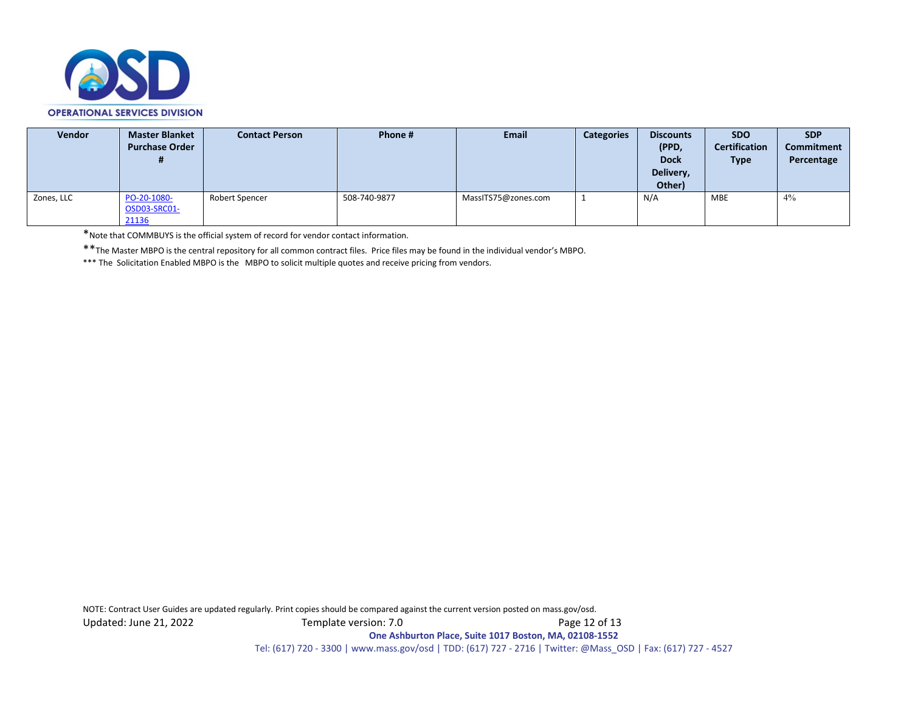

| <b>Vendor</b> | <b>Master Blanket</b><br><b>Purchase Order</b> | <b>Contact Person</b> | Phone #      | <b>Email</b>        | <b>Categories</b> | <b>Discounts</b><br>(PPD,<br><b>Dock</b><br>Delivery,<br>Other) | <b>SDO</b><br><b>Certification</b><br><b>Type</b> | <b>SDP</b><br>Commitment<br>Percentage |
|---------------|------------------------------------------------|-----------------------|--------------|---------------------|-------------------|-----------------------------------------------------------------|---------------------------------------------------|----------------------------------------|
| Zones, LLC    | PO-20-1080-<br>OSD03-SRC01-<br>21136           | Robert Spencer        | 508-740-9877 | MassITS75@zones.com |                   | N/A                                                             | <b>MBE</b>                                        | 4%                                     |

\*Note that COMMBUYS is the official system of record for vendor contact information.

\*\*The Master MBPO is the central repository for all common contract files. Price files may be found in the individual vendor's MBPO.

\*\*\* The Solicitation Enabled MBPO is the MBPO to solicit multiple quotes and receive pricing from vendors.